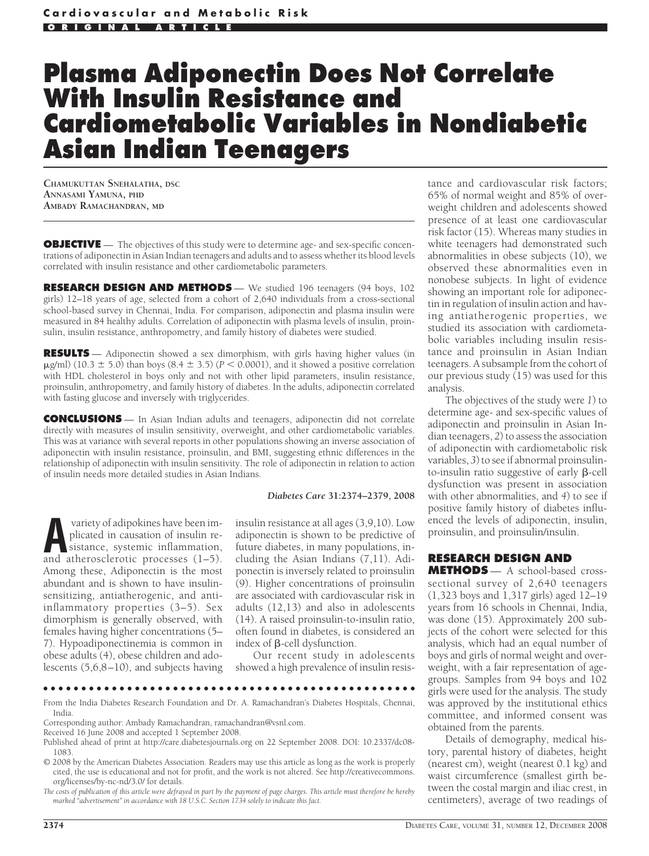# **Plasma Adiponectin Does Not Correlate With Insulin Resistance and Cardiometabolic Variables in Nondiabetic Asian Indian Teenagers**

**CHAMUKUTTAN SNEHALATHA, DSC ANNASAMI YAMUNA, PHD AMBADY RAMACHANDRAN, MD**

**OBJECTIVE** — The objectives of this study were to determine age- and sex-specific concentrations of adiponectin in Asian Indian teenagers and adults and to assess whether its blood levels correlated with insulin resistance and other cardiometabolic parameters.

**RESEARCH DESIGN AND METHODS** — We studied 196 teenagers (94 boys, 102 girls) 12–18 years of age, selected from a cohort of 2,640 individuals from a cross-sectional school-based survey in Chennai, India. For comparison, adiponectin and plasma insulin were measured in 84 healthy adults. Correlation of adiponectin with plasma levels of insulin, proinsulin, insulin resistance, anthropometry, and family history of diabetes were studied.

**RESULTS** — Adiponectin showed a sex dimorphism, with girls having higher values (in  $\mu$ g/ml) (10.3  $\pm$  5.0) than boys (8.4  $\pm$  3.5) (*P* < 0.0001), and it showed a positive correlation with HDL cholesterol in boys only and not with other lipid parameters, insulin resistance, proinsulin, anthropometry, and family history of diabetes. In the adults, adiponectin correlated with fasting glucose and inversely with triglycerides.

**CONCLUSIONS** — In Asian Indian adults and teenagers, adiponectin did not correlate directly with measures of insulin sensitivity, overweight, and other cardiometabolic variables. This was at variance with several reports in other populations showing an inverse association of adiponectin with insulin resistance, proinsulin, and BMI, suggesting ethnic differences in the relationship of adiponectin with insulin sensitivity. The role of adiponectin in relation to action of insulin needs more detailed studies in Asian Indians.

#### *Diabetes Care* **31:2374–2379, 2008**

variety of adipokines have been im-<br>plicated in causation of insulin resistance, systemic inflammation,<br>and atherosclerotic processes (1–5) plicated in causation of insulin resistance, systemic inflammation, and atherosclerotic processes (1–5). Among these, Adiponectin is the most abundant and is shown to have insulinsensitizing, antiatherogenic, and antiinflammatory properties (3–5). Sex dimorphism is generally observed, with females having higher concentrations (5– 7). Hypoadiponectinemia is common in obese adults (4), obese children and adolescents (5,6,8–10), and subjects having

insulin resistance at all ages (3,9,10). Low adiponectin is shown to be predictive of future diabetes, in many populations, including the Asian Indians (7,11). Adiponectin is inversely related to proinsulin (9). Higher concentrations of proinsulin are associated with cardiovascular risk in adults (12,13) and also in adolescents (14). A raised proinsulin-to-insulin ratio, often found in diabetes, is considered an index of  $\beta$ -cell dysfunction.

Our recent study in adolescents showed a high prevalence of insulin resis-

## ●●●●●●●●●●●●●●●●●●●●●●●●●●●●●●●●●●●●●●●●●●●●●●●●●

From the India Diabetes Research Foundation and Dr. A. Ramachandran's Diabetes Hospitals, Chennai, India.

Corresponding author: Ambady Ramachandran, ramachandran@vsnl.com.

tance and cardiovascular risk factors; 65% of normal weight and 85% of overweight children and adolescents showed presence of at least one cardiovascular risk factor (15). Whereas many studies in white teenagers had demonstrated such abnormalities in obese subjects (10), we observed these abnormalities even in nonobese subjects. In light of evidence showing an important role for adiponectin in regulation of insulin action and having antiatherogenic properties, we studied its association with cardiometabolic variables including insulin resistance and proinsulin in Asian Indian teenagers. A subsample from the cohort of our previous study (15) was used for this analysis.

The objectives of the study were *1*) to determine age- and sex-specific values of adiponectin and proinsulin in Asian Indian teenagers, *2*) to assess the association of adiponectin with cardiometabolic risk variables, *3*) to see if abnormal proinsulinto-insulin ratio suggestive of early  $\beta$ -cell dysfunction was present in association with other abnormalities, and *4*) to see if positive family history of diabetes influenced the levels of adiponectin, insulin, proinsulin, and proinsulin/insulin.

### **RESEARCH DESIGN AND**

**METHODS** — A school-based crosssectional survey of 2,640 teenagers (1,323 boys and 1,317 girls) aged 12–19 years from 16 schools in Chennai, India, was done (15). Approximately 200 subjects of the cohort were selected for this analysis, which had an equal number of boys and girls of normal weight and overweight, with a fair representation of agegroups. Samples from 94 boys and 102 girls were used for the analysis. The study was approved by the institutional ethics committee, and informed consent was obtained from the parents.

Details of demography, medical history, parental history of diabetes, height (nearest cm), weight (nearest 0.1 kg) and waist circumference (smallest girth between the costal margin and iliac crest, in centimeters), average of two readings of

Received 16 June 2008 and accepted 1 September 2008.

Published ahead of print at http://care.diabetesjournals.org on 22 September 2008. DOI: 10.2337/dc08- 1083.

<sup>© 2008</sup> by the American Diabetes Association. Readers may use this article as long as the work is properly cited, the use is educational and not for profit, and the work is not altered. See http://creativecommons. org/licenses/by-nc-nd/3.0/ for details.

*The costs of publication of this article were defrayed in part by the payment of page charges. This article must therefore be hereby marked "advertisement" in accordance with 18 U.S.C. Section 1734 solely to indicate this fact.*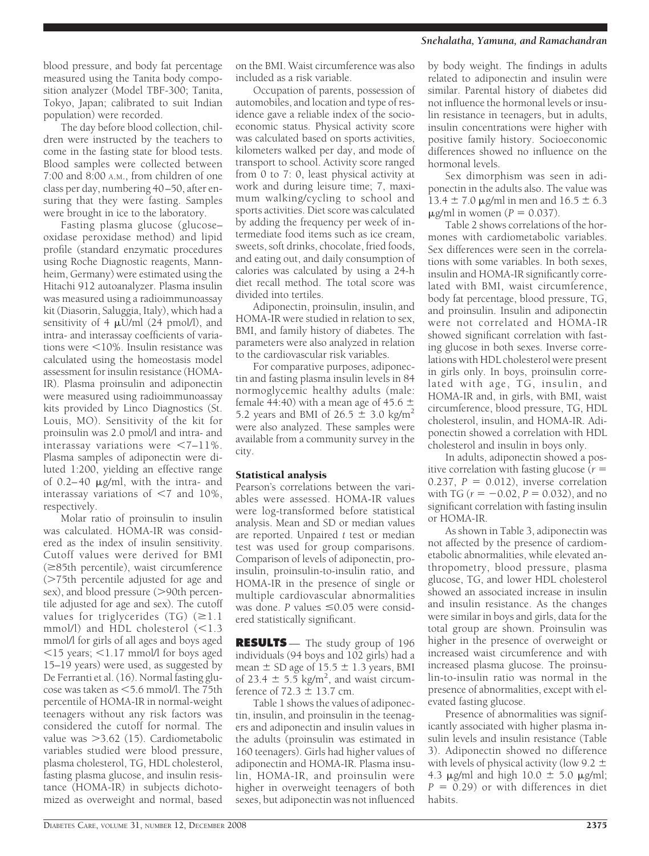#### *Snehalatha, Yamuna, and Ramachandran*

blood pressure, and body fat percentage measured using the Tanita body composition analyzer (Model TBF-300; Tanita, Tokyo, Japan; calibrated to suit Indian population) were recorded.

The day before blood collection, children were instructed by the teachers to come in the fasting state for blood tests. Blood samples were collected between 7:00 and 8:00 A.M., from children of one class per day, numbering 40–50, after ensuring that they were fasting. Samples were brought in ice to the laboratory.

Fasting plasma glucose (glucose– oxidase peroxidase method) and lipid profile (standard enzymatic procedures using Roche Diagnostic reagents, Mannheim, Germany) were estimated using the Hitachi 912 autoanalyzer. Plasma insulin was measured using a radioimmunoassay kit (Diasorin, Saluggia, Italy), which had a sensitivity of 4  $\mu$ U/ml (24 pmol/l), and intra- and interassay coefficients of variations were  $\leq 10\%$ . Insulin resistance was calculated using the homeostasis model assessment for insulin resistance (HOMA-IR). Plasma proinsulin and adiponectin were measured using radioimmunoassay kits provided by Linco Diagnostics (St. Louis, MO). Sensitivity of the kit for proinsulin was 2.0 pmol/l and intra- and interassay variations were  $\leq 7-11\%$ . Plasma samples of adiponectin were diluted 1:200, yielding an effective range of  $0.2-40$   $\mu$ g/ml, with the intra- and interassay variations of  $\leq 7$  and 10%, respectively.

Molar ratio of proinsulin to insulin was calculated. HOMA-IR was considered as the index of insulin sensitivity. Cutoff values were derived for BMI  $(\geq 85$ th percentile), waist circumference ( $>75$ th percentile adjusted for age and sex), and blood pressure (>90th percentile adjusted for age and sex). The cutoff values for triglycerides  $(TG)$  ( $\geq 1.1$ ) mmol/l) and HDL cholesterol  $(<1.3$ mmol/l for girls of all ages and boys aged  $15$  years;  $1.17$  mmol/l for boys aged 15–19 years) were used, as suggested by De Ferranti et al. (16). Normal fasting glucose was taken as  $\leq$  5.6 mmol/l. The 75th percentile of HOMA-IR in normal-weight teenagers without any risk factors was considered the cutoff for normal. The value was  $>3.62$  (15). Cardiometabolic variables studied were blood pressure, plasma cholesterol, TG, HDL cholesterol, fasting plasma glucose, and insulin resistance (HOMA-IR) in subjects dichotomized as overweight and normal, based

on the BMI. Waist circumference was also included as a risk variable.

Occupation of parents, possession of automobiles, and location and type of residence gave a reliable index of the socioeconomic status. Physical activity score was calculated based on sports activities, kilometers walked per day, and mode of transport to school. Activity score ranged from 0 to 7: 0, least physical activity at work and during leisure time; 7, maximum walking/cycling to school and sports activities. Diet score was calculated by adding the frequency per week of intermediate food items such as ice cream, sweets, soft drinks, chocolate, fried foods, and eating out, and daily consumption of calories was calculated by using a 24-h diet recall method. The total score was divided into tertiles.

Adiponectin, proinsulin, insulin, and HOMA-IR were studied in relation to sex, BMI, and family history of diabetes. The parameters were also analyzed in relation to the cardiovascular risk variables.

For comparative purposes, adiponectin and fasting plasma insulin levels in 84 normoglycemic healthy adults (male: female 44:40) with a mean age of 45.6  $\pm$ 5.2 years and BMI of  $26.5 \pm 3.0$  kg/m<sup>2</sup> were also analyzed. These samples were available from a community survey in the city.

## Statistical analysis

Pearson's correlations between the variables were assessed. HOMA-IR values were log-transformed before statistical analysis. Mean and SD or median values are reported. Unpaired *t* test or median test was used for group comparisons. Comparison of levels of adiponectin, proinsulin, proinsulin-to-insulin ratio, and HOMA-IR in the presence of single or multiple cardiovascular abnormalities was done. *P* values ≤0.05 were considered statistically significant.

**RESULTS** — The study group of 196 individuals (94 boys and 102 girls) had a mean  $\pm$  SD age of  $15.5 \pm 1.3$  years, BMI of 23.4  $\pm$  5.5 kg/m<sup>2</sup>, and waist circumference of  $72.3 \pm 13.7$  cm.

Table 1 shows the values of adiponectin, insulin, and proinsulin in the teenagers and adiponectin and insulin values in the adults (proinsulin was estimated in 160 teenagers). Girls had higher values of adiponectin and HOMA-IR. Plasma insulin, HOMA-IR, and proinsulin were higher in overweight teenagers of both sexes, but adiponectin was not influenced

by body weight. The findings in adults related to adiponectin and insulin were similar. Parental history of diabetes did not influence the hormonal levels or insulin resistance in teenagers, but in adults, insulin concentrations were higher with positive family history. Socioeconomic differences showed no influence on the hormonal levels.

Sex dimorphism was seen in adiponectin in the adults also. The value was  $13.4 \pm 7.0$   $\mu$ g/ml in men and  $16.5 \pm 6.3$  $\mu$ g/ml in women ( $P = 0.037$ ).

Table 2 shows correlations of the hormones with cardiometabolic variables. Sex differences were seen in the correlations with some variables. In both sexes, insulin and HOMA-IR significantly correlated with BMI, waist circumference, body fat percentage, blood pressure, TG, and proinsulin. Insulin and adiponectin were not correlated and HOMA-IR showed significant correlation with fasting glucose in both sexes. Inverse correlations with HDL cholesterol were present in girls only. In boys, proinsulin correlated with age, TG, insulin, and HOMA-IR and, in girls, with BMI, waist circumference, blood pressure, TG, HDL cholesterol, insulin, and HOMA-IR. Adiponectin showed a correlation with HDL cholesterol and insulin in boys only.

In adults, adiponectin showed a positive correlation with fasting glucose (*r* 0.237,  $P = 0.012$ ), inverse correlation with TG ( $r = -0.02$ ,  $P = 0.032$ ), and no significant correlation with fasting insulin or HOMA-IR.

As shown in Table 3, adiponectin was not affected by the presence of cardiometabolic abnormalities, while elevated anthropometry, blood pressure, plasma glucose, TG, and lower HDL cholesterol showed an associated increase in insulin and insulin resistance. As the changes were similar in boys and girls, data for the total group are shown. Proinsulin was higher in the presence of overweight or increased waist circumference and with increased plasma glucose. The proinsulin-to-insulin ratio was normal in the presence of abnormalities, except with elevated fasting glucose.

Presence of abnormalities was significantly associated with higher plasma insulin levels and insulin resistance (Table 3). Adiponectin showed no difference with levels of physical activity (low 9.2  $\pm$ 4.3  $\mu$ g/ml and high 10.0  $\pm$  5.0  $\mu$ g/ml;  $P = 0.29$  or with differences in diet habits.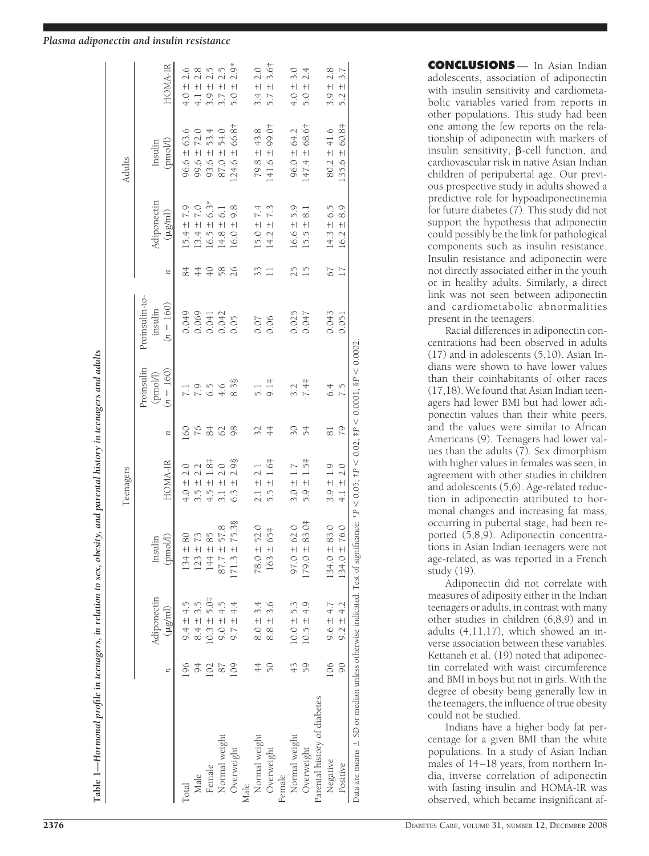# *Plasma adiponectin and insulin resistance*

|                              |     |                |                     | Teenagers                      |             |                                       |                                          |                 |                                 | Adults              |                                 |
|------------------------------|-----|----------------|---------------------|--------------------------------|-------------|---------------------------------------|------------------------------------------|-----------------|---------------------------------|---------------------|---------------------------------|
|                              | n   | Adiponectin    | (pmol/l)<br>Insulin | HOMA-IR                        | n           | Proinsulin<br>$(n = 160)$<br>(pmol/l) | Proinsulin-to-<br>$(n = 160)$<br>insulin | n               | Adiponectin<br>$(\mu g/ml)$     | (pmol/l)<br>Insulin | HOMA-IR                         |
| Total                        | 196 | $9.4 \pm 4.5$  | 80<br>$134 +$       | $+0.1$                         | $\circ$     |                                       | 0.049                                    | 84              | $5.4 \pm 7.9$                   | $96.6 \pm 63.6$     | 2.6<br>$+0.1$                   |
| Male                         | 94  | $8.4 \pm 3.5$  | 73<br>$123 \pm$     | $3.5 +$                        | 76          | 7.9                                   | 0.069                                    | $rac{4}{4}$     | $13.4 \pm 7.0$                  | $99.6 \pm 72.0$     | $4.1 \pm 2.8$                   |
| Female                       | 102 | $10.3 \pm 5.0$ | 85<br>$144 \pm$     | $1.8 +$<br>$+5 +$              | 84          | 6.5                                   | 0.041                                    | $\overline{+}$  | $6.3*$<br>$+1$<br>16.5          | 53.4<br>$93.6 \pm$  | 2.5<br>$+1$<br>3.9              |
| Normal weight                | 87  | $9.0 \pm 4.5$  | 57.8<br>87.7 $\pm$  | 2.0<br>$3.1 +$                 | 62          | 4.6                                   | 0.042                                    | 58              | 6.1<br>$+1$<br>14.8             | 54.0<br>$87.0 +$    | $+1$<br>3.7                     |
| Overweight                   | 109 | $9.7 \pm 4.4$  | 75.38<br>$171.3 +$  | 2.98<br>$+1$<br>6.3            | 98          | 8.38                                  | 0.05                                     | 26              | 9.8<br>$+1$<br>16.0             | $124.6 \pm 66.8$    | $\sum_{i=1}^{n}$<br>$+1$<br>5.0 |
| Male                         |     |                |                     |                                |             |                                       |                                          |                 |                                 |                     |                                 |
| Normal weight                | 4   | $8.0 \pm 3.4$  | 52.0<br>$78.0 +$    | $2.1 +$                        |             |                                       | 0.07                                     | 33              | $15.0 \pm 7.4$                  | $79.8 \pm 43.8$     | $+1$<br>3.4                     |
| Overweight                   | 50  | $8.8 \pm 3.6$  | 65‡<br>$163 \pm$    | $1.6^{\ddagger}$<br>$+1$<br>55 | $rac{4}{4}$ | $9.1\pm$                              | 0.06                                     |                 | 7.3<br>$\frac{1}{2}$<br>14.2    | $141.6 \pm 99.0$    | $3.6+$<br>$+1$<br>5.7           |
| Female                       |     |                |                     |                                |             |                                       |                                          |                 |                                 |                     |                                 |
| Normal weight                | 43  | $10.0 \pm 5.3$ | 62.0<br>$97.0 \pm$  | $3.0 +$                        | 30          | 3.2                                   | 0.025                                    | 25              | 5.9<br>$16.6 \pm$               | $96.0 \pm 64.2$     | 3.0<br>$4.0 +$                  |
| Overweight                   | 59  | $10.5 \pm 4.9$ | 83.0‡<br>$179.0 +$  | $1.5^+$<br>$+1$<br>5.9         | 54          | 7.4‡                                  | 0.047                                    | $\overline{1}$  | $\overline{81}$<br>$+1$<br>15.5 | $147.4 \pm 68.6$ †  | 2.4<br>$+1$<br>5.0              |
| Parental history of diabetes |     |                |                     |                                |             |                                       |                                          |                 |                                 |                     |                                 |
| Negative                     | 106 | $9.6 \pm 4.7$  | 83.0<br>$134.0 =$   | $3.9 \pm 1.9$                  | 81          | 6.4                                   | 0.043                                    | 67              | $14.3 \pm 6.5$                  | $80.2 \pm 41.6$     | 2.8<br>$+1$<br>3.9              |
| Positive                     | 90  | $9.2 \pm 4.2$  | 76.0<br>$134.0 =$   | 2.0<br>$+1$                    | 79          | 7.5                                   | 0.051                                    | $\overline{17}$ | 8.9<br>$+1$<br>16.2             | 135.6 ± 60.8‡       | 3.7<br>$+1$<br>5.2              |

**CONCLUSIONS** — In Asian Indian adolescents, association of adiponectin with insulin sensitivity and cardiometabolic variables varied from reports in other populations. This study had been one among the few reports on the relationship of adiponectin with markers of insulin sensitivity,  $\beta$ -cell function, and cardiovascular risk in native Asian Indian children of peripubertal age. Our previous prospective study in adults showed a predictive role for hypoadiponectinemia for future diabetes (7). This study did not support the hypothesis that adiponectin could possibly be the link for pathological components such as insulin resistance. Insulin resistance and adiponectin were not directly associated either in the youth or in healthy adults. Similarly, a direct link was not seen between adiponectin and cardiometabolic abnormalities present in the teenagers.

Racial differences in adiponectin concentrations had been observed in adults (17) and in adolescents (5,10). Asian Indians were shown to have lower values than their coinhabitants of other races (17,18). We found that Asian Indian teenagers had lower BMI but had lower adiponectin values than their white peers, and the values were similar to African Americans (9). Teenagers had lower values than the adults (7). Sex dimorphism with higher values in females was seen, in agreement with other studies in children and adolescents (5,6). Age-related reduction in adiponectin attributed to hormonal changes and increasing fat mass, occurring in pubertal stage, had been reported (5,8,9). Adiponectin concentrations in Asian Indian teenagers were not age-related, as was reported in a French study (19).

Adiponectin did not correlate with measures of adiposity either in the Indian teenagers or adults, in contrast with many other studies in children (6,8,9) and in adults (4,11,17), which showed an inverse association between these variables. Kettaneh et al. (19) noted that adiponectin correlated with waist circumference and BMI in boys but not in girls. With the degree of obesity being generally low in the teenagers, the influence of true obesity could not be studied.

Indians have a higher body fat percentage for a given BMI than the white populations. In a study of Asian Indian males of 14–18 years, from northern India, inverse correlation of adiponectin with fasting insulin and HOMA-IR was observed, which became insignificant af-

Table 1—Hormonal profile in teenagers, in relation to sex, obesity, and parental history in teenagers and adults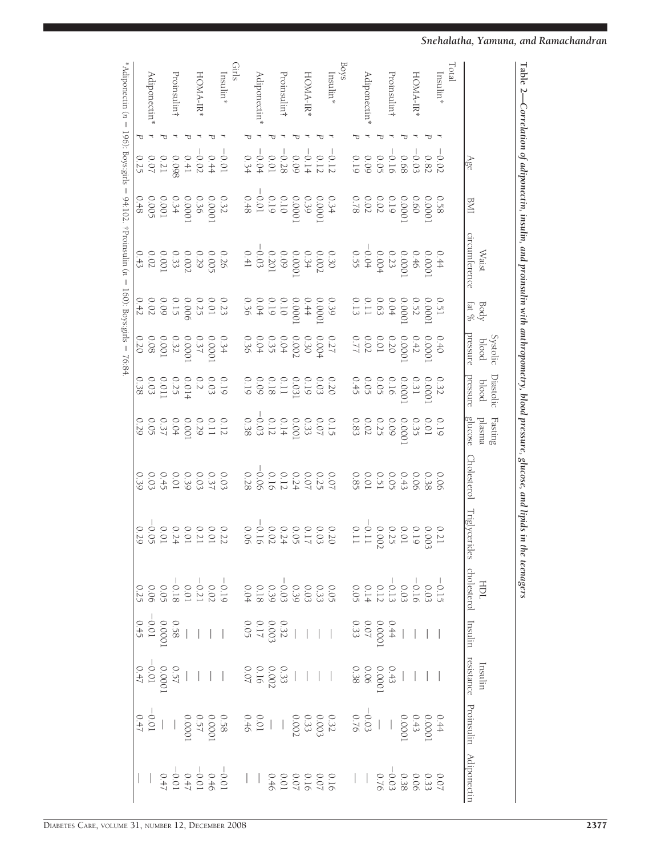|                          | Age                                                                                                                                                                                                                                                                                                                                             | <b>IME</b>                                                                                       | circumference<br><b>Waist</b>                                                                             | Body $\frac{1}{2}$                                                                                     | pressure<br>Systolic<br>blood                                                                              | Diastolic<br>pressure<br>blood                                                                     | ${\rm Fasting}$<br>glucose<br>plasma                                                                                                                                                                                                                                                                          | <b>Cholesterol</b>                                              | Triglycerides | cholesterol Insulin<br><b>TOH</b> |                                                                                                                                                                                      | Insulin | resistance Proinsulin Adiponectin |
|--------------------------|-------------------------------------------------------------------------------------------------------------------------------------------------------------------------------------------------------------------------------------------------------------------------------------------------------------------------------------------------|--------------------------------------------------------------------------------------------------|-----------------------------------------------------------------------------------------------------------|--------------------------------------------------------------------------------------------------------|------------------------------------------------------------------------------------------------------------|----------------------------------------------------------------------------------------------------|---------------------------------------------------------------------------------------------------------------------------------------------------------------------------------------------------------------------------------------------------------------------------------------------------------------|-----------------------------------------------------------------|---------------|-----------------------------------|--------------------------------------------------------------------------------------------------------------------------------------------------------------------------------------|---------|-----------------------------------|
| Total                    |                                                                                                                                                                                                                                                                                                                                                 |                                                                                                  |                                                                                                           |                                                                                                        |                                                                                                            |                                                                                                    |                                                                                                                                                                                                                                                                                                               |                                                                 |               |                                   |                                                                                                                                                                                      |         |                                   |
| $Institn*$               |                                                                                                                                                                                                                                                                                                                                                 |                                                                                                  |                                                                                                           |                                                                                                        |                                                                                                            |                                                                                                    |                                                                                                                                                                                                                                                                                                               |                                                                 |               |                                   |                                                                                                                                                                                      |         |                                   |
|                          | $\begin{array}{r} -0.02 \\ 0.03 \\ 0.03 \\ 0.05 \\ -0.009 \\ -0.009 \\ -0.009 \\ \end{array}$                                                                                                                                                                                                                                                   | 0.58<br>0.66<br>0.66<br>0.78<br>0.78                                                             | 0.44<br>0.0001<br>0.0001<br>0.001<br>0.55<br>0.55<br>0.55<br>0.55                                         | $\begin{array}{l} 0.51 \\ 0.000 \\ 0.000 \\ 0.000 \\ 0.11 \\ 0.11 \\ 0.13 \\ 0.11 \\ 0.13 \end{array}$ | $\begin{array}{c} 0.40 \\ 0.000 \\ 0.000 \\ 0.20 \\ 0.07 \\ 0.77 \\ 0.77 \\ 0.77 \\ \end{array}$           | 0.32<br>0.000<br>0.000<br>0.000<br>0.45<br>0.000                                                   | $\begin{array}{c} 0.000 \\ 0.010 \\ 0.000 \\ 0.000 \\ 0.000 \\ \end{array}$                                                                                                                                                                                                                                   | 0 0 0 0 0 0 0 0 0<br>0 3 3 6 4 7 5 7 7 9 8 9<br>0 3 7 9 7 9 8 9 |               |                                   | $1   1   1 + \frac{36}{4} \frac{36}{20} \frac{36}{20} \frac{36}{20} \frac{36}{20} \frac{36}{20} \frac{36}{20} \frac{36}{20} \frac{36}{20} \frac{36}{20} \frac{36}{20} \frac{36}{20}$ |         |                                   |
| HOMA-IR*                 |                                                                                                                                                                                                                                                                                                                                                 |                                                                                                  |                                                                                                           |                                                                                                        |                                                                                                            |                                                                                                    |                                                                                                                                                                                                                                                                                                               |                                                                 |               |                                   |                                                                                                                                                                                      |         |                                   |
|                          |                                                                                                                                                                                                                                                                                                                                                 |                                                                                                  |                                                                                                           |                                                                                                        |                                                                                                            |                                                                                                    |                                                                                                                                                                                                                                                                                                               |                                                                 |               |                                   |                                                                                                                                                                                      |         |                                   |
| Proinsulin†              |                                                                                                                                                                                                                                                                                                                                                 |                                                                                                  |                                                                                                           |                                                                                                        |                                                                                                            |                                                                                                    |                                                                                                                                                                                                                                                                                                               |                                                                 |               |                                   |                                                                                                                                                                                      |         |                                   |
|                          |                                                                                                                                                                                                                                                                                                                                                 |                                                                                                  |                                                                                                           |                                                                                                        |                                                                                                            |                                                                                                    |                                                                                                                                                                                                                                                                                                               |                                                                 |               |                                   |                                                                                                                                                                                      |         |                                   |
| <b>Adiponectin</b>       |                                                                                                                                                                                                                                                                                                                                                 |                                                                                                  |                                                                                                           |                                                                                                        |                                                                                                            |                                                                                                    |                                                                                                                                                                                                                                                                                                               |                                                                 |               |                                   |                                                                                                                                                                                      |         |                                   |
|                          |                                                                                                                                                                                                                                                                                                                                                 |                                                                                                  |                                                                                                           |                                                                                                        |                                                                                                            |                                                                                                    |                                                                                                                                                                                                                                                                                                               |                                                                 |               |                                   |                                                                                                                                                                                      |         |                                   |
| Boys                     |                                                                                                                                                                                                                                                                                                                                                 |                                                                                                  |                                                                                                           |                                                                                                        |                                                                                                            |                                                                                                    |                                                                                                                                                                                                                                                                                                               |                                                                 |               |                                   |                                                                                                                                                                                      |         |                                   |
| $\mathrm{Inoulin}^*$     | $\begin{array}{r} -0.12 \\ 0.12 \\ 0.03 \\ -0.08 \\ -0.09 \\ -0.09 \\ -0.03 \\ +0.03 \\ +0.03 \\ +0.03 \\ +0.03 \\ +0.03 \\ +0.03 \\ +0.03 \\ +0.03 \\ +0.03 \\ +0.03 \\ +0.03 \\ +0.03 \\ +0.03 \\ +0.03 \\ +0.03 \\ +0.03 \\ +0.03 \\ +0.03 \\ +0.03 \\ +0.03 \\ +0.03 \\ +0.03 \\ +0.03 \\ +0.03 \\ +0.03 \\ +0.03 \\ +0.03 \\ +0.03 \\ +0.$ | $\begin{array}{r}0.34\\0.0001\\0.00001\\0.19\\-0.01\\-0.01\\-0.048\end{array}$                   | $\begin{array}{c} 0.30 \\ 0.002 \\ 0.000 \\ 0.000 \\ -0.03 \\ 0.41 \\ 0.41 \\ 0.41 \\ \hline \end{array}$ | $\begin{array}{c} 0.39 \\ 0.0001 \\ 0.0001 \\ 0.19 \\ 0.04 \\ 0.36 \\ 0.36 \\ \end{array}$             |                                                                                                            | $\begin{array}{c} 0.20 \\ 0.03 \\ 0.031 \\ 0.0031 \\ 0.18 \\ 0.09 \\ 0.19 \end{array}$             |                                                                                                                                                                                                                                                                                                               |                                                                 |               |                                   |                                                                                                                                                                                      |         |                                   |
|                          |                                                                                                                                                                                                                                                                                                                                                 |                                                                                                  |                                                                                                           |                                                                                                        |                                                                                                            |                                                                                                    |                                                                                                                                                                                                                                                                                                               |                                                                 |               |                                   |                                                                                                                                                                                      |         |                                   |
| HOMA-IR*                 |                                                                                                                                                                                                                                                                                                                                                 |                                                                                                  |                                                                                                           |                                                                                                        |                                                                                                            |                                                                                                    |                                                                                                                                                                                                                                                                                                               |                                                                 |               |                                   |                                                                                                                                                                                      |         |                                   |
|                          |                                                                                                                                                                                                                                                                                                                                                 |                                                                                                  |                                                                                                           |                                                                                                        |                                                                                                            |                                                                                                    |                                                                                                                                                                                                                                                                                                               |                                                                 |               |                                   |                                                                                                                                                                                      |         |                                   |
| Proinsulin†              |                                                                                                                                                                                                                                                                                                                                                 |                                                                                                  |                                                                                                           |                                                                                                        |                                                                                                            |                                                                                                    |                                                                                                                                                                                                                                                                                                               |                                                                 |               |                                   |                                                                                                                                                                                      |         |                                   |
|                          |                                                                                                                                                                                                                                                                                                                                                 |                                                                                                  |                                                                                                           |                                                                                                        |                                                                                                            |                                                                                                    |                                                                                                                                                                                                                                                                                                               |                                                                 |               |                                   |                                                                                                                                                                                      |         |                                   |
| Adiponectin'             |                                                                                                                                                                                                                                                                                                                                                 |                                                                                                  |                                                                                                           |                                                                                                        |                                                                                                            |                                                                                                    |                                                                                                                                                                                                                                                                                                               |                                                                 |               |                                   |                                                                                                                                                                                      |         |                                   |
|                          |                                                                                                                                                                                                                                                                                                                                                 |                                                                                                  |                                                                                                           |                                                                                                        |                                                                                                            |                                                                                                    |                                                                                                                                                                                                                                                                                                               |                                                                 |               |                                   |                                                                                                                                                                                      |         |                                   |
| Girls                    |                                                                                                                                                                                                                                                                                                                                                 |                                                                                                  |                                                                                                           |                                                                                                        |                                                                                                            |                                                                                                    |                                                                                                                                                                                                                                                                                                               |                                                                 |               |                                   |                                                                                                                                                                                      |         |                                   |
| $Insumlim*$              | $\begin{array}{r} -0.01 \\ -0.04 \\ -0.04 \\ 0.09 \\ 0.010 \\ -0.007 \\ 0.025 \end{array}$                                                                                                                                                                                                                                                      | $\begin{array}{r} 0.32 \\ 0.000 \\ 0.000 \\ 0.000 \\ 0.000 \\ 0.005 \\ 0.48 \\ 0.48 \end{array}$ | $\begin{array}{c} 0.26 \\ 0.005 \\ 0.002 \\ 0.001 \\ 0.002 \\ 0.002 \\ 0.43 \\ \end{array}$               |                                                                                                        | $\begin{array}{c} 0.33 \\ 0.000 \\ 0.000 \\ 0.000 \\ 0.000 \\ 0.20 \\ 0.20 \\ 0.20 \\ 0.20 \\ \end{array}$ |                                                                                                    | $\begin{array}{r} 0.12 \\ 0.11 \\ 0.29 \\ 0.00 \\ 0.00 \\ 0.00 \\ 0.00 \\ 0.00 \\ 0.00 \\ 0.00 \\ 0.00 \\ 0.00 \\ 0.00 \\ 0.00 \\ 0.00 \\ 0.00 \\ 0.00 \\ 0.00 \\ 0.00 \\ 0.00 \\ 0.00 \\ 0.00 \\ 0.00 \\ 0.00 \\ 0.00 \\ 0.00 \\ 0.00 \\ 0.00 \\ 0.00 \\ 0.00 \\ 0.00 \\ 0.00 \\ 0.00 \\ 0.00 \\ 0.00 \\ 0.$ |                                                                 |               |                                   |                                                                                                                                                                                      |         |                                   |
|                          |                                                                                                                                                                                                                                                                                                                                                 |                                                                                                  |                                                                                                           |                                                                                                        |                                                                                                            |                                                                                                    |                                                                                                                                                                                                                                                                                                               |                                                                 |               |                                   |                                                                                                                                                                                      |         |                                   |
| HOMA-IR*                 |                                                                                                                                                                                                                                                                                                                                                 |                                                                                                  |                                                                                                           |                                                                                                        |                                                                                                            |                                                                                                    |                                                                                                                                                                                                                                                                                                               |                                                                 |               |                                   |                                                                                                                                                                                      |         |                                   |
|                          |                                                                                                                                                                                                                                                                                                                                                 |                                                                                                  |                                                                                                           |                                                                                                        |                                                                                                            |                                                                                                    |                                                                                                                                                                                                                                                                                                               |                                                                 |               |                                   |                                                                                                                                                                                      |         |                                   |
| Proinsulin <sup>†</sup>  |                                                                                                                                                                                                                                                                                                                                                 |                                                                                                  |                                                                                                           |                                                                                                        |                                                                                                            |                                                                                                    |                                                                                                                                                                                                                                                                                                               |                                                                 |               |                                   |                                                                                                                                                                                      |         |                                   |
|                          |                                                                                                                                                                                                                                                                                                                                                 |                                                                                                  |                                                                                                           |                                                                                                        |                                                                                                            |                                                                                                    |                                                                                                                                                                                                                                                                                                               |                                                                 |               |                                   |                                                                                                                                                                                      |         |                                   |
| Adiponectin <sup>*</sup> |                                                                                                                                                                                                                                                                                                                                                 |                                                                                                  |                                                                                                           |                                                                                                        |                                                                                                            | $\begin{array}{c} 0.003 \\ 0.003 \\ 0.0104 \\ 0.0000 \\ 0.0000 \\ 0.0000 \\ 0.0000 \\ \end{array}$ |                                                                                                                                                                                                                                                                                                               |                                                                 |               |                                   |                                                                                                                                                                                      |         |                                   |
|                          |                                                                                                                                                                                                                                                                                                                                                 |                                                                                                  |                                                                                                           |                                                                                                        |                                                                                                            |                                                                                                    |                                                                                                                                                                                                                                                                                                               |                                                                 |               |                                   |                                                                                                                                                                                      |         |                                   |
| $*$ Adiponectin (n =     | 196): Boys:girls                                                                                                                                                                                                                                                                                                                                |                                                                                                  | 94:102. †Proinsulin (n =                                                                                  |                                                                                                        | $160$ : Boys:girls = 76:84                                                                                 |                                                                                                    |                                                                                                                                                                                                                                                                                                               |                                                                 |               |                                   |                                                                                                                                                                                      |         |                                   |

**Table 2—**

*Correlation*

 *of*

 *adiponectin,*

 *insulin,*

 *and*

 *proinsulin*

 *with*

 *anthropometry,*

 *blood*

 *pressure,*

 *glucose,*

 *and lipids*

 *in the teenagers*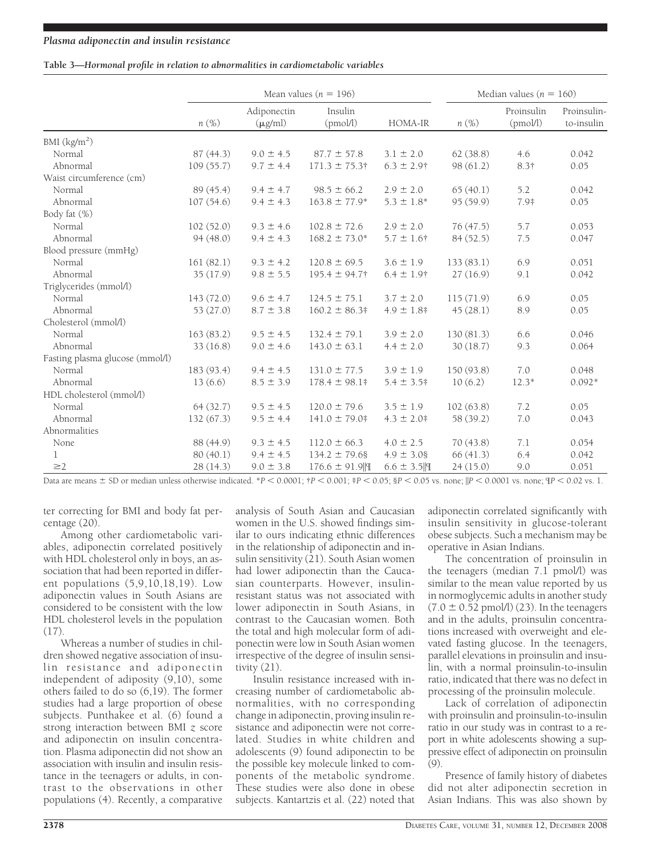## **Table 3—***Hormonal profile in relation to abnormalities in cardiometabolic variables*

|                                 |            |                             | Mean values ( $n = 196$ ) |                   |            | Median values ( $n = 160$ ) |                           |
|---------------------------------|------------|-----------------------------|---------------------------|-------------------|------------|-----------------------------|---------------------------|
|                                 | $n(\%)$    | Adiponectin<br>$(\mu g/ml)$ | Insulin<br>(pmol/l)       | HOMA-IR           | $n(\%)$    | Proinsulin<br>(pmol/l)      | Proinsulin-<br>to-insulin |
| BMI $(kg/m2)$                   |            |                             |                           |                   |            |                             |                           |
| Normal                          | 87 (44.3)  | $9.0 \pm 4.5$               | $87.7 \pm 57.8$           | $3.1 \pm 2.0$     | 62(38.8)   | 4.6                         | 0.042                     |
| Abnormal                        | 109(55.7)  | $9.7 \pm 4.4$               | $171.3 \pm 75.3$ †        | $6.3 \pm 2.9$ †   | 98 (61.2)  | $8.3\dagger$                | 0.05                      |
| Waist circumference (cm)        |            |                             |                           |                   |            |                             |                           |
| Normal                          | 89 (45.4)  | $9.4 \pm 4.7$               | $98.5 \pm 66.2$           | $2.9 \pm 2.0$     | 65(40.1)   | 5.2                         | 0.042                     |
| Abnormal                        | 107(54.6)  | $9.4 \pm 4.3$               | $163.8 \pm 77.9*$         | $5.3 \pm 1.8^*$   | 95(59.9)   | 7.9‡                        | 0.05                      |
| Body fat (%)                    |            |                             |                           |                   |            |                             |                           |
| Normal                          | 102(52.0)  | $9.3 \pm 4.6$               | $102.8 \pm 72.6$          | $2.9 \pm 2.0$     | 76 (47.5)  | 5.7                         | 0.053                     |
| Abnormal                        | 94 (48.0)  | $9.4 \pm 4.3$               | $168.2 \pm 73.0*$         | $5.7 \pm 1.6$ †   | 84 (52.5)  | $7.5\,$                     | 0.047                     |
| Blood pressure (mmHg)           |            |                             |                           |                   |            |                             |                           |
| Normal                          | 161(82.1)  | $9.3 \pm 4.2$               | $120.8 \pm 69.5$          | $3.6 \pm 1.9$     | 133(83.1)  | 6.9                         | 0.051                     |
| Abnormal                        | 35(17.9)   | $9.8 \pm 5.5$               | $195.4 \pm 94.7$ †        | $6.4 \pm 1.9$ †   | 27(16.9)   | 9.1                         | 0.042                     |
| Triglycerides (mmol/l)          |            |                             |                           |                   |            |                             |                           |
| Normal                          | 143(72.0)  | $9.6 \pm 4.7$               | $124.5 \pm 75.1$          | $3.7 \pm 2.0$     | 115(71.9)  | 6.9                         | 0.05                      |
| Abnormal                        | 53 (27.0)  | $8.7 \pm 3.8$               | $160.2 \pm 86.3$          | $4.9 \pm 1.8$     | 45(28.1)   | 8.9                         | 0.05                      |
| Cholesterol (mmol/l)            |            |                             |                           |                   |            |                             |                           |
| Normal                          | 163(83.2)  | $9.5 \pm 4.5$               | $132.4 \pm 79.1$          | $3.9 \pm 2.0$     | 130(81.3)  | 6.6                         | 0.046                     |
| Abnormal                        | 33(16.8)   | $9.0 \pm 4.6$               | $143.0 \pm 63.1$          | $4.4 \pm 2.0$     | 30(18.7)   | 9.3                         | 0.064                     |
| Fasting plasma glucose (mmol/l) |            |                             |                           |                   |            |                             |                           |
| Normal                          | 183 (93.4) | $9.4 \pm 4.5$               | $131.0 \pm 77.5$          | $3.9 \pm 1.9$     | 150 (93.8) | 7.0                         | 0.048                     |
| Abnormal                        | 13(6.6)    | $8.5 \pm 3.9$               | $178.4 \pm 98.1$ #        | $5.4 \pm 3.5$ #   | 10(6.2)    | $12.3*$                     | $0.092*$                  |
| HDL cholesterol (mmol/l)        |            |                             |                           |                   |            |                             |                           |
| Normal                          | 64(32.7)   | $9.5 \pm 4.5$               | $120.0 \pm 79.6$          | $3.5 \pm 1.9$     | 102(63.8)  | 7.2                         | 0.05                      |
| Abnormal                        | 132(67.3)  | $9.5 \pm 4.4$               | $141.0 \pm 79.0$ #        | $4.3 \pm 2.0$ #   | 58 (39.2)  | 7.0                         | 0.043                     |
| Abnormalities                   |            |                             |                           |                   |            |                             |                           |
| None                            | 88 (44.9)  | $9.3 \pm 4.5$               | $112.0 \pm 66.3$          | $4.0 \pm 2.5$     | 70(43.8)   | 7.1                         | 0.054                     |
| 1                               | 80(40.1)   | $9.4 \pm 4.5$               | $134.2 \pm 79.68$         | $4.9 \pm 3.08$    | 66(41.3)   | 6.4                         | 0.042                     |
| $\geq$ 2                        | 28 (14.3)  | $9.0 \pm 3.8$               | $176.6 \pm 91.9$          | $6.6 \pm 3.5$   9 | 24(15.0)   | 9.0                         | 0.051                     |

Data are means  $\pm$  SD or median unless otherwise indicated. \**P* < 0.0001; †*P* < 0.001; ‡*P* < 0.05; §*P* < 0.05 vs. none;  $|P$  < 0.0001 vs. none;  $P$  < 0.02 vs. 1.

ter correcting for BMI and body fat percentage (20).

Among other cardiometabolic variables, adiponectin correlated positively with HDL cholesterol only in boys, an association that had been reported in different populations  $(5,9,10,18,19)$ . Low adiponectin values in South Asians are considered to be consistent with the low HDL cholesterol levels in the population (17).

Whereas a number of studies in children showed negative association of insulin resistance and adiponectin independent of adiposity (9,10), some others failed to do so  $(6, 19)$ . The former studies had a large proportion of obese subjects. Punthakee et al. (6) found a strong interaction between BMI *z* score and adiponectin on insulin concentration. Plasma adiponectin did not show an association with insulin and insulin resistance in the teenagers or adults, in contrast to the observations in other populations (4). Recently, a comparative

analysis of South Asian and Caucasian women in the U.S. showed findings similar to ours indicating ethnic differences in the relationship of adiponectin and insulin sensitivity (21). South Asian women had lower adiponectin than the Caucasian counterparts. However, insulinresistant status was not associated with lower adiponectin in South Asians, in contrast to the Caucasian women. Both the total and high molecular form of adiponectin were low in South Asian women irrespective of the degree of insulin sensitivity  $(21)$ .

Insulin resistance increased with increasing number of cardiometabolic abnormalities, with no corresponding change in adiponectin, proving insulin resistance and adiponectin were not correlated. Studies in white children and adolescents (9) found adiponectin to be the possible key molecule linked to components of the metabolic syndrome. These studies were also done in obese subjects. Kantartzis et al. (22) noted that

adiponectin correlated significantly with insulin sensitivity in glucose-tolerant obese subjects. Such a mechanism may be operative in Asian Indians.

The concentration of proinsulin in the teenagers (median 7.1 pmol/l) was similar to the mean value reported by us in normoglycemic adults in another study  $(7.0 \pm 0.52 \text{ pmol/l})$  (23). In the teenagers and in the adults, proinsulin concentrations increased with overweight and elevated fasting glucose. In the teenagers, parallel elevations in proinsulin and insulin, with a normal proinsulin-to-insulin ratio, indicated that there was no defect in processing of the proinsulin molecule.

Lack of correlation of adiponectin with proinsulin and proinsulin-to-insulin ratio in our study was in contrast to a report in white adolescents showing a suppressive effect of adiponectin on proinsulin  $(9)$ .

Presence of family history of diabetes did not alter adiponectin secretion in Asian Indians. This was also shown by